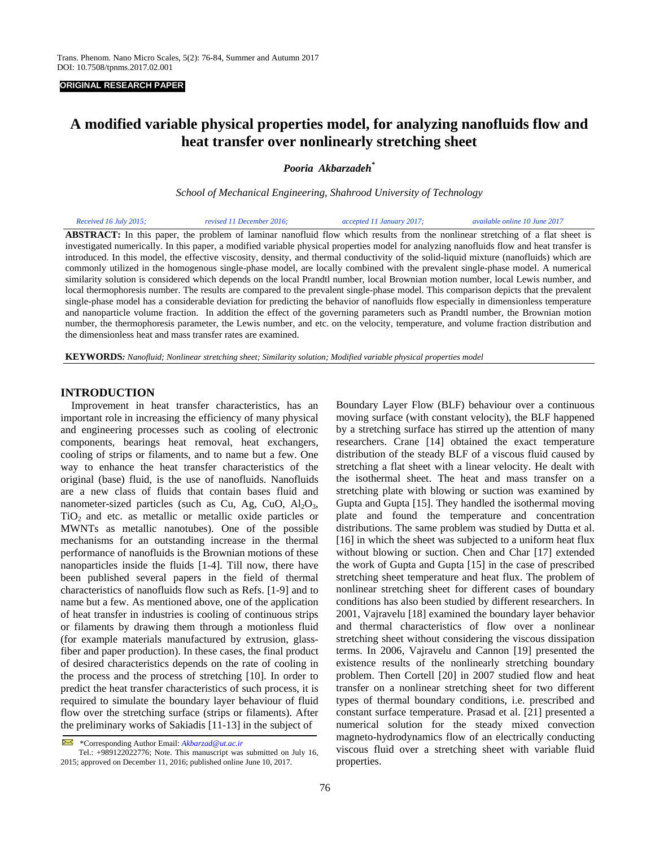## **ORIGINAL RESEARCH PAPER**

# **A modified variable physical properties model, for analyzing nanofluids flow and heat transfer over nonlinearly stretching sheet**

*Pooria Akbarzadeh\** 

*School of Mechanical Engineering, Shahrood University of Technology* 

| Received 16 July 2015; | revised 11 December 2016;                                                                                                                 | accepted 11 January 2017; | available online 10 June 2017 |
|------------------------|-------------------------------------------------------------------------------------------------------------------------------------------|---------------------------|-------------------------------|
|                        | <b>ABSTRACT:</b> In this paper, the problem of laminar nanofluid flow which results from the nonlinear stretching of a flat sheet is      |                           |                               |
|                        | investigated numerically. In this paper, a modified variable physical properties model for analyzing nanofluids flow and heat transfer is |                           |                               |
|                        | introduced. In this model, the effective viscosity, density, and thermal conductivity of the solid-liquid mixture (nanofluids) which are  |                           |                               |
|                        | commonly utilized in the homogenous single-phase model, are locally combined with the prevalent single-phase model. A numerical           |                           |                               |
|                        | similarity solution is considered which depends on the local Prandtl number, local Brownian motion number, local Lewis number, and        |                           |                               |
|                        | local thermophoresis number. The results are compared to the prevalent single-phase model. This comparison depicts that the prevalent     |                           |                               |
|                        | single-phase model has a considerable deviation for predicting the behavior of nanofluids flow especially in dimensionless temperature    |                           |                               |
|                        | and nanoparticle volume fraction. In addition the effect of the governing parameters such as Prandtl number, the Brownian motion          |                           |                               |
|                        | number, the thermophoresis parameter, the Lewis number, and etc. on the velocity, temperature, and volume fraction distribution and       |                           |                               |

**KEYWORDS***: Nanofluid; Nonlinear stretching sheet; Similarity solution; Modified variable physical properties model* 

#### **INTRODUCTION**

 Improvement in heat transfer characteristics, has an important role in increasing the efficiency of many physical and engineering processes such as cooling of electronic components, bearings heat removal, heat exchangers, cooling of strips or filaments, and to name but a few. One way to enhance the heat transfer characteristics of the original (base) fluid, is the use of nanofluids. Nanofluids are a new class of fluids that contain bases fluid and nanometer-sized particles (such as Cu, Ag, CuO,  $Al_2O_3$ ,  $TiO<sub>2</sub>$  and etc. as metallic or metallic oxide particles or MWNTs as metallic nanotubes). One of the possible mechanisms for an outstanding increase in the thermal performance of nanofluids is the Brownian motions of these nanoparticles inside the fluids [1-4]. Till now, there have been published several papers in the field of thermal characteristics of nanofluids flow such as Refs. [1-9] and to name but a few. As mentioned above, one of the application of heat transfer in industries is cooling of continuous strips or filaments by drawing them through a motionless fluid (for example materials manufactured by extrusion, glassfiber and paper production). In these cases, the final product of desired characteristics depends on the rate of cooling in the process and the process of stretching [10]. In order to predict the heat transfer characteristics of such process, it is required to simulate the boundary layer behaviour of fluid flow over the stretching surface (strips or filaments). After the preliminary works of Sakiadis [11-13] in the subject of

the dimensionless heat and mass transfer rates are examined.

Boundary Layer Flow (BLF) behaviour over a continuous moving surface (with constant velocity), the BLF happened by a stretching surface has stirred up the attention of many researchers. Crane [14] obtained the exact temperature distribution of the steady BLF of a viscous fluid caused by stretching a flat sheet with a linear velocity. He dealt with the isothermal sheet. The heat and mass transfer on a stretching plate with blowing or suction was examined by Gupta and Gupta [15]. They handled the isothermal moving plate and found the temperature and concentration distributions. The same problem was studied by Dutta et al. [16] in which the sheet was subjected to a uniform heat flux without blowing or suction. Chen and Char [17] extended the work of Gupta and Gupta [15] in the case of prescribed stretching sheet temperature and heat flux. The problem of nonlinear stretching sheet for different cases of boundary conditions has also been studied by different researchers. In 2001, Vajravelu [18] examined the boundary layer behavior and thermal characteristics of flow over a nonlinear stretching sheet without considering the viscous dissipation terms. In 2006, Vajravelu and Cannon [19] presented the existence results of the nonlinearly stretching boundary problem. Then Cortell [20] in 2007 studied flow and heat transfer on a nonlinear stretching sheet for two different types of thermal boundary conditions, i.e. prescribed and constant surface temperature. Prasad et al. [21] presented a numerical solution for the steady mixed convection magneto-hydrodynamics flow of an electrically conducting viscous fluid over a stretching sheet with variable fluid properties.

 $\Join$ \*Corresponding Author Email: *Akbarzad@ut.ac.ir*

Tel.: +989122022776; Note. This manuscript was submitted on July 16, 2015; approved on December 11, 2016; published online June 10, 2017.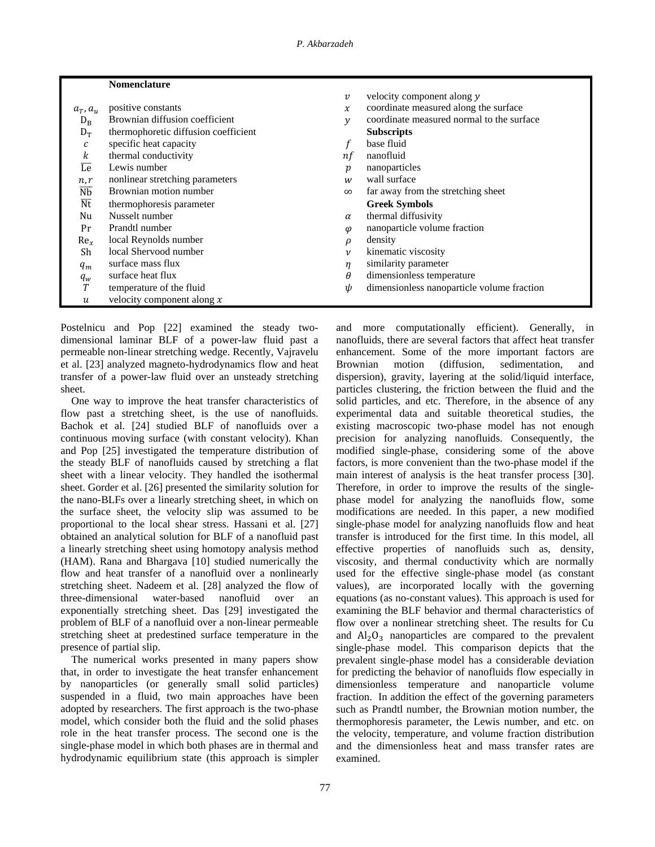|                            | <b>Nomenclature</b>                  |                    |                                            |
|----------------------------|--------------------------------------|--------------------|--------------------------------------------|
|                            |                                      | $\boldsymbol{v}$   | velocity component along y                 |
| $a_T, a_u$                 | positive constants                   | $\chi$             | coordinate measured along the surface      |
| $D_{\rm B}$                | Brownian diffusion coefficient       | $\mathcal{Y}$      | coordinate measured normal to the surface  |
| $D_T$                      | thermophoretic diffusion coefficient |                    | <b>Subscripts</b>                          |
| $\mathcal C$               | specific heat capacity               |                    | base fluid                                 |
| k                          | thermal conductivity                 | nf                 | nanofluid                                  |
| Le                         | Lewis number                         | p                  | nanoparticles                              |
| n,r                        | nonlinear stretching parameters      | w                  | wall surface                               |
| $\overline{\text{Nb}}$     | Brownian motion number               | $\infty$           | far away from the stretching sheet         |
| $\overline{\rm Nt}$        | thermophoresis parameter             |                    | <b>Greek Symbols</b>                       |
| Nu                         | Nusselt number                       | $\alpha$           | thermal diffusivity                        |
| Pr                         | Prandtl number                       | $\varphi$          | nanoparticle volume fraction               |
| Re <sub>r</sub>            | local Reynolds number                | ρ                  | density                                    |
| Sh                         | local Shervood number                | $\boldsymbol{\nu}$ | kinematic viscosity                        |
| $q_m$                      | surface mass flux                    | η                  | similarity parameter                       |
| $q_w$                      | surface heat flux                    | θ                  | dimensionless temperature                  |
| T                          | temperature of the fluid             | ψ                  | dimensionless nanoparticle volume fraction |
| $\boldsymbol{\mathcal{u}}$ | velocity component along $x$         |                    |                                            |

Postelnicu and Pop [22] examined the steady twodimensional laminar BLF of a power-law fluid past a permeable non-linear stretching wedge. Recently, Vajravelu et al. [23] analyzed magneto-hydrodynamics flow and heat transfer of a power-law fluid over an unsteady stretching sheet.

 One way to improve the heat transfer characteristics of flow past a stretching sheet, is the use of nanofluids. Bachok et al. [24] studied BLF of nanofluids over a continuous moving surface (with constant velocity). Khan and Pop [25] investigated the temperature distribution of the steady BLF of nanofluids caused by stretching a flat sheet with a linear velocity. They handled the isothermal sheet. Gorder et al. [26] presented the similarity solution for the nano-BLFs over a linearly stretching sheet, in which on the surface sheet, the velocity slip was assumed to be proportional to the local shear stress. Hassani et al. [27] obtained an analytical solution for BLF of a nanofluid past a linearly stretching sheet using homotopy analysis method (HAM). Rana and Bhargava [10] studied numerically the flow and heat transfer of a nanofluid over a nonlinearly stretching sheet. Nadeem et al. [28] analyzed the flow of three-dimensional water-based nanofluid over an exponentially stretching sheet. Das [29] investigated the problem of BLF of a nanofluid over a non-linear permeable stretching sheet at predestined surface temperature in the presence of partial slip.

 The numerical works presented in many papers show that, in order to investigate the heat transfer enhancement by nanoparticles (or generally small solid particles) suspended in a fluid, two main approaches have been adopted by researchers. The first approach is the two-phase model, which consider both the fluid and the solid phases role in the heat transfer process. The second one is the single-phase model in which both phases are in thermal and hydrodynamic equilibrium state (this approach is simpler

and more computationally efficient). Generally, in nanofluids, there are several factors that affect heat transfer enhancement. Some of the more important factors are Brownian motion (diffusion, sedimentation, and dispersion), gravity, layering at the solid/liquid interface, particles clustering, the friction between the fluid and the solid particles, and etc. Therefore, in the absence of any experimental data and suitable theoretical studies, the existing macroscopic two-phase model has not enough precision for analyzing nanofluids. Consequently, the modified single-phase, considering some of the above factors, is more convenient than the two-phase model if the main interest of analysis is the heat transfer process [30]. Therefore, in order to improve the results of the singlephase model for analyzing the nanofluids flow, some modifications are needed. In this paper, a new modified single-phase model for analyzing nanofluids flow and heat transfer is introduced for the first time. In this model, all effective properties of nanofluids such as, density, viscosity, and thermal conductivity which are normally used for the effective single-phase model (as constant values), are incorporated locally with the governing equations (as no-constant values). This approach is used for examining the BLF behavior and thermal characteristics of flow over a nonlinear stretching sheet. The results for Cu and  $Al<sub>2</sub>O<sub>3</sub>$  nanoparticles are compared to the prevalent single-phase model. This comparison depicts that the prevalent single-phase model has a considerable deviation for predicting the behavior of nanofluids flow especially in dimensionless temperature and nanoparticle volume fraction. In addition the effect of the governing parameters such as Prandtl number, the Brownian motion number, the thermophoresis parameter, the Lewis number, and etc. on the velocity, temperature, and volume fraction distribution and the dimensionless heat and mass transfer rates are examined.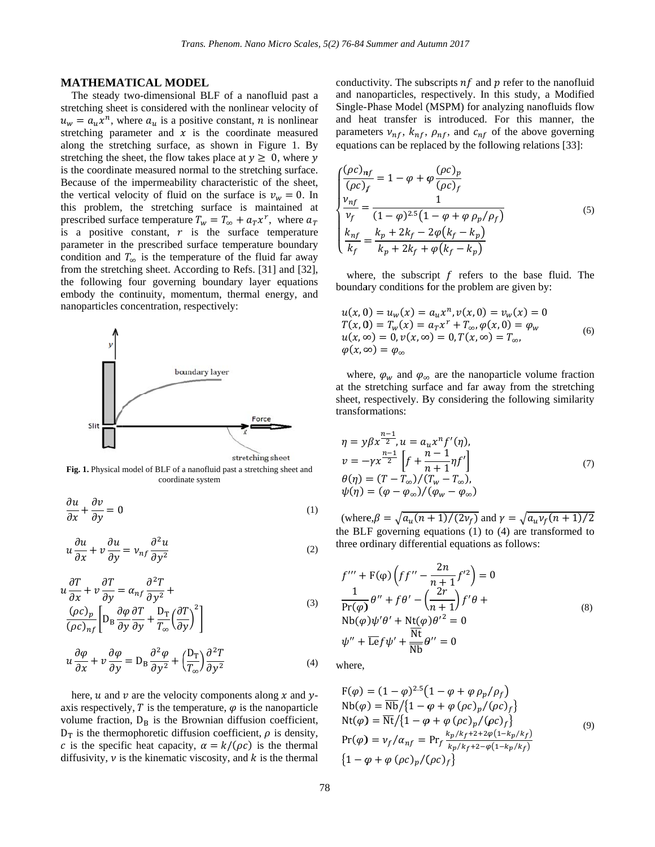# **M MATHEMA ATICAL MO ODEL**

 $u_w = a_u x^n$ , where  $a_u$  is a positive constant, *n* is nonlinear along the stretching surface, as shown in Figure 1. By stretching the sheet, the flow takes place at  $y \ge 0$ , where y is the coordinate measured normal to the stretching surface. Because of the impermeability characteristic of the sheet, the vertical velocity of fluid on the surface is  $v_w = 0$ . In this problem, the stretching surface is maintained at prescribed surface temperature  $T_w = T_\infty + a_T x^r$ , where  $a_T$ is a positive constant,  $r$  is the surface temperature parameter in the prescribed surface temperature boundary condition and  $T_{\infty}$  is the temperature of the fluid far away from the stretching sheet. According to Refs. [31] and [32], the following four governing boundary layer equations embody the continuity, momentum, thermal energy, and n nanoparticles c concentration, respectively: The steady two-dimensional BLF of a nanofluid past a stretching sheet is considered with the nonlinear velocity of stretching parameter and  $x$  is the coordinate measured stretching the sheet, the flow takes place at  $y \geq 0$ , where



Fig. 1. Physical model of BLF of a nanofluid past a stretching sheet and coordin nate system

$$
\frac{\partial u}{\partial x} + \frac{\partial v}{\partial y} = 0 \tag{1}
$$

$$
u\frac{\partial u}{\partial x} + v\frac{\partial u}{\partial y} = v_{nf}\frac{\partial^2 u}{\partial y^2}
$$
 (2)

$$
u\frac{\partial T}{\partial x} + v\frac{\partial T}{\partial y} = \alpha_{nf}\frac{\partial^2 T}{\partial y^2} +
$$
  
\n
$$
\frac{(\rho c)_p}{(\rho c)_{nf}} \left[ D_B \frac{\partial \varphi}{\partial y} \frac{\partial T}{\partial y} + \frac{D_T}{T_{\infty}} \left( \frac{\partial T}{\partial y} \right)^2 \right]
$$
\n
$$
\frac{\partial \varphi}{\partial y} = \frac{\partial \varphi}{\partial y} \frac{\partial T}{\partial y} + \frac{D_T}{T_{\infty}} \left( \frac{\partial T}{\partial y} \right)^2
$$
\n(3)

$$
u\frac{\partial \varphi}{\partial x} + v\frac{\partial \varphi}{\partial y} = D_B \frac{\partial^2 \varphi}{\partial y^2} + \left(\frac{D_T}{T_{\infty}}\right) \frac{\partial^2 T}{\partial y^2}
$$
(4)

axis respectively, T is the temperature,  $\varphi$  is the nanoparti volume fraction,  $D_B$  is the Brownian diffusion coefficient, diffusivity,  $\nu$  is the kinematic viscosity, and  $k$  is the thermal here, *u* and *v* are the velocity components along *x* and *y*-<br>xis respectively, *T* is the temperature,  $\varphi$  is the nanoparticle  $D_T$  is the thermophoretic diffusion coefficient,  $\rho$  is density, c is the specific heat capacity,  $\alpha = k/(\rho c)$  is the thermal

conductivity. The subscripts  $nf$  and  $p$  refer to the nanofluid and nanoparticles, respectively. In this study, a Modified Single-Phase Model (MSPM) for analyzing nanofluids flow and heat transfer is introduced. For this manner, the parameters  $v_{nf}$ ,  $k_{nf}$ ,  $\rho_{nf}$ , and  $c_{nf}$  of the above governing equations can be replaced by the following relations [33]:

$$
\begin{cases}\n\frac{(\rho c)_{nf}}{(\rho c)_f} = 1 - \varphi + \varphi \frac{(\rho c)_p}{(\rho c)_f} \\
\frac{\nu_{nf}}{\nu_f} = \frac{1}{(1 - \varphi)^{2.5} (1 - \varphi + \varphi \rho_p / \rho_f)} \\
\frac{k_{nf}}{k_f} = \frac{k_p + 2k_f - 2\varphi (k_f - k_p)}{k_p + 2k_f + \varphi (k_f - k_p)}\n\end{cases} (5)
$$

where, the subscript  $f$  refers to the base fluid. The boundary conditions for the problem are given by:

boundary conditions for the problem are given by:  
\n
$$
u(x, 0) = u_w(x) = a_u x^n, v(x, 0) = v_w(x) = 0
$$
\n
$$
T(x, 0) = T_w(x) = a_T x^r + T_{\infty}, \varphi(x, 0) = \varphi_w
$$
\n
$$
u(x, \infty) = 0, v(x, \infty) = 0, T(x, \infty) = T_{\infty},
$$
\n
$$
\varphi(x, \infty) = \varphi_{\infty}
$$
\n(6)

where,  $\varphi_w$  and  $\varphi_\infty$  are the nanoparticle volume fraction at the stretching surface and far away from the stretching sheet, respectively. By considering the following similarity transformations:

$$
\eta = y\beta x^{\frac{n-1}{2}}, u = a_{u}x^{n} f'(\eta), \n v = -\gamma x^{\frac{n-1}{2}} \left[ f + \frac{n-1}{n+1} \eta f' \right] \n\theta(\eta) = (T - T_{\infty})/(T_{w} - T_{\infty}), \n\psi(\eta) = (\varphi - \varphi_{\infty})/(\varphi_{w} - \varphi_{\infty})
$$
\n(7)

(where,  $\beta = \sqrt{a_u(n+1)/(2v_f)}$  and  $\gamma = \sqrt{a_u v_f(n+1)/2}$ the BLF governing equations  $(1)$  to  $(4)$  are transformed to three ordinary differential equations as follows:

$$
f''' + F(\varphi) \left( f f'' - \frac{2n}{n+1} f'^2 \right) = 0
$$
  

$$
\frac{1}{\Pr(\varphi)} \theta'' + f \theta' - \left( \frac{2r}{n+1} \right) f' \theta +
$$
  

$$
N b(\varphi) \psi' \theta' + N t(\varphi) \theta'^2 = 0
$$
  

$$
\psi'' + \overline{\text{Le}} f \psi' + \frac{N t}{N b} \theta'' = 0
$$
 (8)

where,

$$
F(\varphi) = (1 - \varphi)^{2.5} (1 - \varphi + \varphi \rho_p / \rho_f)
$$
  
\nNb(\varphi) = \overline{Nb}/\{1 - \varphi + \varphi (\rho c)\_p / (\rho c)\_f\}  
\nNt(\varphi) = \overline{N}t/\{1 - \varphi + \varphi (\rho c)\_p / (\rho c)\_f\}  
\nPr(\varphi) = v\_f / \alpha\_{nf} = Pr\_f \frac{k\_p / k\_f + 2 + 2\varphi(1 - k\_p / k\_f)}{k\_p / k\_f + 2 - \varphi(1 - k\_p / k\_f)}  
\n{1 - \varphi + \varphi (\rho c)\_p / (\rho c)\_f\} (9)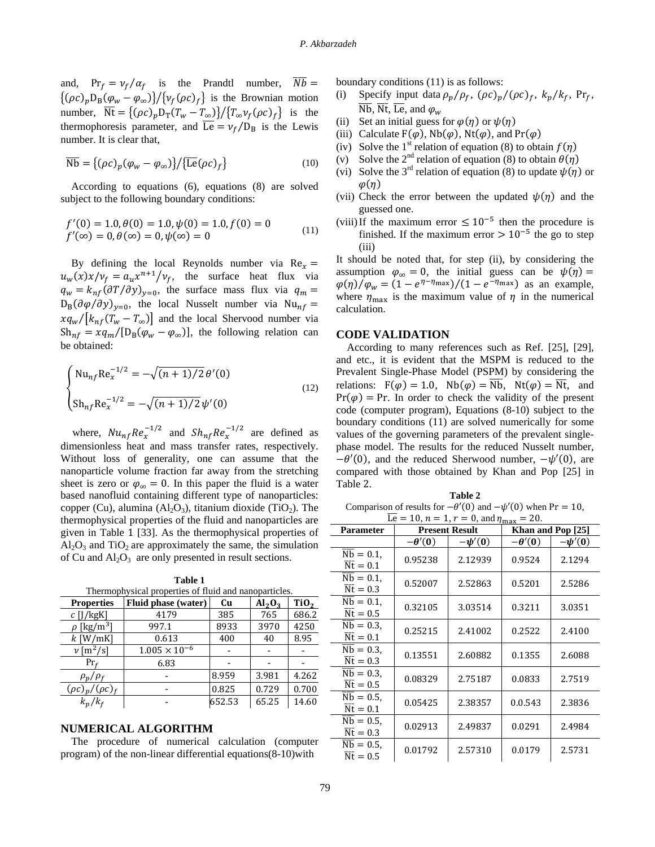and,  $Pr_f = v_f / \alpha_f$  is the Prandtl number,  $\overline{Nb} =$  $\{(\rho c)_p D_B(\varphi_w - \varphi_\infty)\}/\{\nu_f(\rho c)_f\}$  is the Brownian motion number,  $\overline{\text{Nt}} = \{(\rho c)_p D_{\text{T}}(T_w - T_{\infty})\} / \{T_{\infty} \nu_f(\rho c)_f\}$  is the thermophoresis parameter, and  $\overline{Le} = v_f/D_B$  is the Lewis number. It is clear that,

$$
\overline{\text{Nb}} = \left\{ (\rho c)_p (\varphi_w - \varphi_\infty) \right\} / \left\{ \overline{\text{Le}} (\rho c)_f \right\} \tag{10}
$$

 According to equations (6), equations (8) are solved subject to the following boundary conditions:

$$
f'(0) = 1.0, \theta(0) = 1.0, \psi(0) = 1.0, f(0) = 0
$$
  

$$
f'(\infty) = 0, \theta(\infty) = 0, \psi(\infty) = 0
$$
 (11)

By defining the local Reynolds number via  $Re<sub>x</sub>$  =  $u_w(x)x/v_f = a_ux^{n+1}/v_f$ , the surface heat flux via  $q_w = k_{nf} (\partial T / \partial y)_{y=0}$ , the surface mass flux via  $q_m =$  $D_B(\partial \varphi/\partial y)_{y=0}$ , the local Nusselt number via Nu<sub>nf</sub> =  $xq_w/[k_{nf}(T_w-T_\infty)]$  and the local Shervood number via  $Sh_{nf} = xq_m/[D_B(\varphi_w - \varphi_\infty)]$ , the following relation can be obtained:

$$
\begin{cases}\n\text{Nu}_{nf} \text{Re}_x^{-1/2} = -\sqrt{(n+1)/2} \theta'(0) \\
\text{Sh}_{nf} \text{Re}_x^{-1/2} = -\sqrt{(n+1)/2} \psi'(0)\n\end{cases}
$$
\n(12)

where,  $Nu_{nf}Re_x^{-1/2}$  and  $Sh_{nf}Re_x^{-1/2}$  are defined as dimensionless heat and mass transfer rates, respectively. Without loss of generality, one can assume that the nanoparticle volume fraction far away from the stretching sheet is zero or  $\varphi_{\infty} = 0$ . In this paper the fluid is a water based nanofluid containing different type of nanoparticles: copper (Cu), alumina ( $Al_2O_3$ ), titanium dioxide (TiO<sub>2</sub>). The thermophysical properties of the fluid and nanoparticles are given in Table 1 [33]. As the thermophysical properties of  $Al_2O_3$  and TiO<sub>2</sub> are approximately the same, the simulation of Cu and  $Al_2O_3$  are only presented in result sections.

**Table 1**  Thermophysical properties of fluid and nanoparticles.

| <b>Properties</b>           | Fluid phase (water)    | Cu     | Al <sub>2</sub> O <sub>3</sub> | TiO <sub>2</sub> |
|-----------------------------|------------------------|--------|--------------------------------|------------------|
| $c$ [J/kgK]                 | 4179                   | 385    | 765                            | 686.2            |
| $\rho$ [kg/m <sup>3</sup> ] | 997.1                  | 8933   | 3970                           | 4250             |
| $k$ [W/mK]                  | 0.613                  | 400    | 40                             | 8.95             |
| $\nu$ [m <sup>2</sup> /s]   | $1.005 \times 10^{-6}$ |        |                                |                  |
| $Pr_f$                      | 6.83                   |        |                                |                  |
| $\rho_p/\rho_f$             |                        | 8.959  | 3.981                          | 4.262            |
| $(\rho c)_p/(\rho c)_f$     |                        | 0.825  | 0.729                          | 0.700            |
| $k_p/k_f$                   |                        | 652.53 | 65.25                          | 14.60            |
|                             |                        |        |                                |                  |

# **NUMERICAL ALGORITHM**

 The procedure of numerical calculation (computer program) of the non-linear differential equations(8-10)with

boundary conditions (11) is as follows:

- (i) Specify input data  $\rho_p/\rho_f$ ,  $(\rho c)_p/(\rho c)_f$ ,  $k_p/k_f$ , Pr<sub>f</sub>,  $\overline{\text{Nb}}, \overline{\text{Nt}}, \overline{\text{Le}}, \text{and } \varphi_w$
- (ii) Set an initial guess for  $\varphi(\eta)$  or  $\psi(\eta)$
- (iii) Calculate  $F(\varphi)$ , Nb( $\varphi$ ), Nt( $\varphi$ ), and Pr( $\varphi$ )
- (iv) Solve the 1<sup>st</sup> relation of equation (8) to obtain  $f(\eta)$
- (v) Solve the 2<sup>nd</sup> relation of equation (8) to obtain  $\theta(\eta)$
- (vi) Solve the 3<sup>rd</sup> relation of equation (8) to update  $\psi(\eta)$  or  $\varphi(\eta)$
- (vii) Check the error between the updated  $\psi(\eta)$  and the guessed one.
- (viii)If the maximum error  $\leq 10^{-5}$  then the procedure is finished. If the maximum error  $> 10^{-5}$  the go to step (iii)

It should be noted that, for step (ii), by considering the assumption  $\varphi_{\infty} = 0$ , the initial guess can be  $\psi(\eta) =$  $\varphi(\eta)/\varphi_w = (1 - e^{\eta - \eta_{\text{max}}})/(1 - e^{-\eta_{\text{max}}})$  as an example, where  $\eta_{\text{max}}$  is the maximum value of  $\eta$  in the numerical calculation.

#### **CODE VALIDATION**

 According to many references such as Ref. [25], [29], and etc., it is evident that the MSPM is reduced to the Prevalent Single-Phase Model (PSPM) by considering the relations:  $F(\varphi) = 1.0$ ,  $Nb(\varphi) = \overline{Nb}$ ,  $Nt(\varphi) = \overline{Nt}$ , and  $Pr(\varphi) = Pr$ . In order to check the validity of the present code (computer program), Equations (8-10) subject to the boundary conditions (11) are solved numerically for some values of the governing parameters of the prevalent singlephase model. The results for the reduced Nusselt number,  $-\theta'(0)$ , and the reduced Sherwood number,  $-\psi'(0)$ , are compared with those obtained by Khan and Pop [25] in Table 2.

**Table 2**  Comparison of results for  $-\theta'(0)$  and  $-\psi'(0)$  when Pr = 10,  $\sqrt{16} = 10$ ,  $n = 1$ ,  $r = 0$ , and  $n = 20$ .

| Le = 10, $n = 1$ , $r = 0$ , and $r_{\text{max}} = 20$ .     |               |                       |                   |             |  |  |  |
|--------------------------------------------------------------|---------------|-----------------------|-------------------|-------------|--|--|--|
| <b>Parameter</b>                                             |               | <b>Present Result</b> | Khan and Pop [25] |             |  |  |  |
|                                                              | $-\theta'(0)$ | $-\psi'(0)$           | $-\theta'(0)$     | $-\psi'(0)$ |  |  |  |
| $\overline{\text{Nb}} = 0.1,$<br>$\overline{\rm Nt} = 0.1$   | 0.95238       | 2.12939               | 0.9524            | 2.1294      |  |  |  |
| $Nb = 0.1$ ,<br>$\overline{\rm{Nt}} = 0.3$                   | 0.52007       | 2.52863               | 0.5201            | 2.5286      |  |  |  |
| $Nb = 0.1$ ,<br>$\overline{\rm{Nt}} = 0.5$                   | 0.32105       | 3.03514               | 0.3211            | 3.0351      |  |  |  |
| $Nb = 0.3$ ,<br>$\overline{\text{Nt}} = 0.1$                 | 0.25215       | 2.41002               | 0.2522            | 2.4100      |  |  |  |
| $Nb = 0.3$ .<br>$\overline{\text{Nt}} = 0.3$                 | 0.13551       | 2.60882               | 0.1355            | 2.6088      |  |  |  |
| $\overline{\text{Nb}} = 0.3$ ,<br>$\overline{\rm{Nt}} = 0.5$ | 0.08329       | 2.75187               | 0.0833            | 2.7519      |  |  |  |
| $Nb = 0.5$ ,<br>$\overline{\rm{Nt}} = 0.1$                   | 0.05425       | 2.38357               | 0.0.543           | 2.3836      |  |  |  |
| $Nb = 0.5$ ,<br>$\overline{\rm{Nt}} = 0.3$                   | 0.02913       | 2.49837               | 0.0291            | 2.4984      |  |  |  |
| $Nb = 0.5$ ,<br>$\overline{\rm{Nt}} = 0.5$                   | 0.01792       | 2.57310               | 0.0179            | 2.5731      |  |  |  |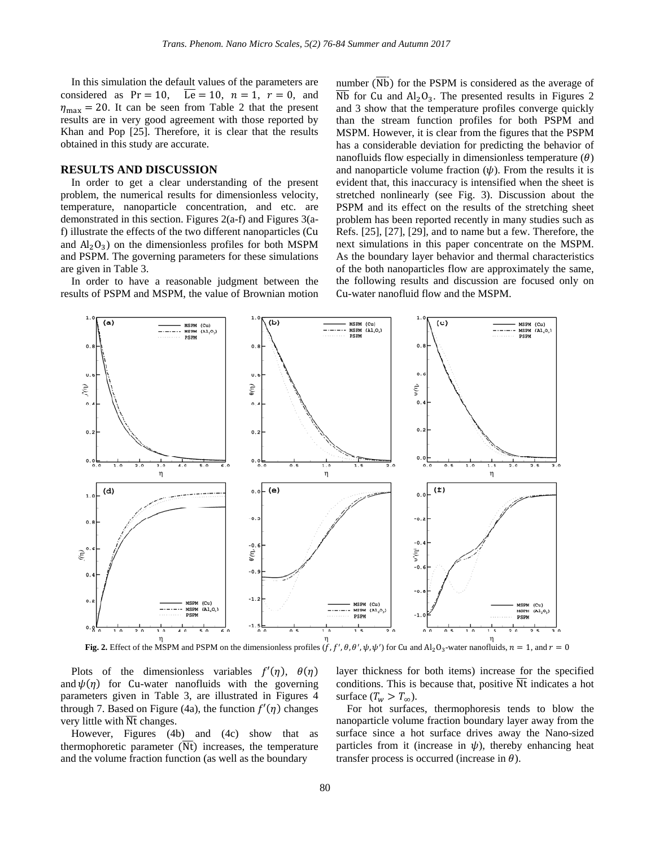In this simulation the default values of the parameters are considered as  $Pr = 10$ ,  $\overline{Le} = 10$ ,  $n = 1$ ,  $r = 0$ , and  $\eta_{\text{max}} = 20$ . It can be seen from Table 2 that the present results are in very good agreement with those reported by Khan and Pop [25]. Therefore, it is clear that the results obtained in this study are accurate.

# **RESULTS AND DISCUSSION**

 In order to get a clear understanding of the present problem, the numerical results for dimensionless velocity, temperature, nanoparticle concentration, and etc. are demonstrated in this section. Figures 2(a-f) and Figures 3(af) illustrate the effects of the two different nanoparticles (Cu and  $Al_2O_3$ ) on the dimensionless profiles for both MSPM and PSPM. The governing parameters for these simulations are given in Table 3.

 In order to have a reasonable judgment between the results of PSPM and MSPM, the value of Brownian motion number  $(\overline{Nb})$  for the PSPM is considered as the average of  $\overline{\text{Nb}}$  for Cu and Al<sub>2</sub>O<sub>3</sub>. The presented results in Figures 2 and 3 show that the temperature profiles converge quickly than the stream function profiles for both PSPM and MSPM. However, it is clear from the figures that the PSPM has a considerable deviation for predicting the behavior of nanofluids flow especially in dimensionless temperature  $(\theta)$ and nanoparticle volume fraction  $(\psi)$ . From the results it is evident that, this inaccuracy is intensified when the sheet is stretched nonlinearly (see Fig. 3). Discussion about the PSPM and its effect on the results of the stretching sheet problem has been reported recently in many studies such as Refs. [25], [27], [29], and to name but a few. Therefore, the next simulations in this paper concentrate on the MSPM. As the boundary layer behavior and thermal characteristics of the both nanoparticles flow are approximately the same, the following results and discussion are focused only on Cu-water nanofluid flow and the MSPM.



**Fig. 2.** Effect of the MSPM and PSPM on the dimensionless profiles  $(f, f', \theta, \theta', \psi, \psi')$  for Cu and Al<sub>2</sub>O<sub>3</sub>-water nanofluids,  $n = 1$ , and  $r = 0$ 

Plots of the dimensionless variables  $f'(\eta)$ ,  $\theta(\eta)$ and  $\psi(\eta)$  for Cu-water nanofluids with the governing parameters given in Table 3, are illustrated in Figures 4 through 7. Based on Figure (4a), the function  $f'(\eta)$  changes very little with  $\overline{\text{Nt}}$  changes.

 However, Figures (4b) and (4c) show that as thermophoretic parameter  $(\overline{Nt})$  increases, the temperature and the volume fraction function (as well as the boundary

layer thickness for both items) increase for the specified conditions. This is because that, positive  $\overline{Nt}$  indicates a hot surface  $(T_w > T_{\infty})$ .

 For hot surfaces, thermophoresis tends to blow the nanoparticle volume fraction boundary layer away from the surface since a hot surface drives away the Nano-sized particles from it (increase in  $\psi$ ), thereby enhancing heat transfer process is occurred (increase in  $\theta$ ).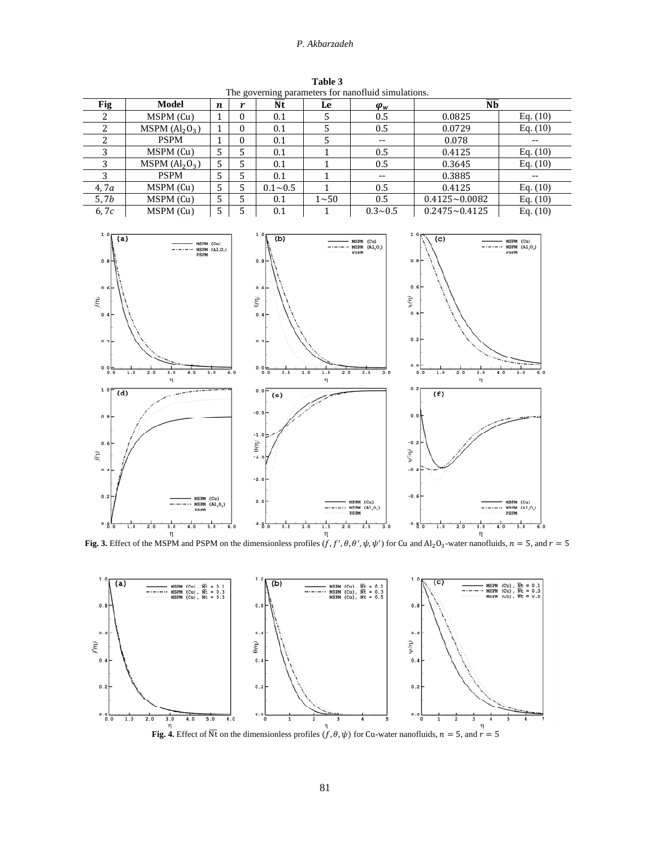## *P. Akbarzadeh*

|                                                                                                                                                                                                                                                                                                                                                                                                                                                                                                                                                         |                                |                |                |                                   |                 | The governing parameters for nanoffuld simulations. |                        |            |
|---------------------------------------------------------------------------------------------------------------------------------------------------------------------------------------------------------------------------------------------------------------------------------------------------------------------------------------------------------------------------------------------------------------------------------------------------------------------------------------------------------------------------------------------------------|--------------------------------|----------------|----------------|-----------------------------------|-----------------|-----------------------------------------------------|------------------------|------------|
| Fig                                                                                                                                                                                                                                                                                                                                                                                                                                                                                                                                                     | <b>Model</b>                   | n              | r              | $\overline{\mathbf{N}\mathbf{t}}$ | $\overline{Le}$ | $\varphi_w$                                         | $\overline{\text{Nb}}$ |            |
| $\overline{c}$                                                                                                                                                                                                                                                                                                                                                                                                                                                                                                                                          | MSPM (Cu)                      | 1              | $\mathbf{0}$   | 0.1                               | 5               | 0.5                                                 | 0.0825                 | Eq. $(10)$ |
| $\overline{c}$                                                                                                                                                                                                                                                                                                                                                                                                                                                                                                                                          | MSPM $(Al2O3)$                 | $\mathbf{1}$   | $\mathbf{0}$   | 0.1                               | 5               | 0.5                                                 | 0.0729                 | Eq. $(10)$ |
| $\overline{c}$                                                                                                                                                                                                                                                                                                                                                                                                                                                                                                                                          | <b>PSPM</b>                    | 1              | $\mathbf{0}$   | 0.1                               | 5               | $-$                                                 | 0.078                  | $-$        |
| 3                                                                                                                                                                                                                                                                                                                                                                                                                                                                                                                                                       | MSPM (Cu)                      | 5              | 5              | 0.1                               | $\mathbf{1}$    | 0.5                                                 | 0.4125                 | Eq. $(10)$ |
| 3                                                                                                                                                                                                                                                                                                                                                                                                                                                                                                                                                       | MSPM $(\text{Al}_2\text{O}_3)$ | $\overline{5}$ | $\overline{5}$ | 0.1                               | $\mathbf{1}$    | 0.5                                                 | 0.3645                 | Eq. $(10)$ |
| $\overline{3}$                                                                                                                                                                                                                                                                                                                                                                                                                                                                                                                                          | <b>PSPM</b>                    | $\overline{5}$ | $\overline{5}$ | 0.1                               | $\mathbf{1}$    | $-$                                                 | 0.3885                 | $-$        |
| 4,7a                                                                                                                                                                                                                                                                                                                                                                                                                                                                                                                                                    | MSPM (Cu)                      | 5              | 5              | $0.1 - 0.5$                       | $\mathbf 1$     | 0.5                                                 | 0.4125                 | Eq. $(10)$ |
| 5, 7b                                                                                                                                                                                                                                                                                                                                                                                                                                                                                                                                                   | MSPM (Cu)                      | $\overline{5}$ | $\overline{5}$ | 0.1                               | $1 - 50$        | 0.5                                                 | $0.4125 - 0.0082$      | Eq. $(10)$ |
| 6,7c                                                                                                                                                                                                                                                                                                                                                                                                                                                                                                                                                    | MSPM (Cu)                      | $\overline{5}$ | 5              | 0.1                               | $\mathbf{1}$    | $0.3 - 0.5$                                         | $0.2475 - 0.4125$      | Eq. $(10)$ |
| (b)<br>(a)<br>(c)<br>MSPM (Cu)<br>MSPM (Cu)<br>MSPM (Cu)<br>$-\cdots$ MSPM $(A1,0)$<br>$-----$ MSPM (A1,0,)<br>$-\cdot$ - $\cdot$ - MSPM $(A1,0,)$<br>PSPM<br>PSPM<br><br>0.8<br>0.8<br>0.8<br>0.6<br>0.6<br>0.6<br>$\widetilde{\psi}(\eta)$<br>ξ<br>$\widehat{\epsilon}$<br>0.4<br>0.4<br>0.4<br>0.2<br>0.2<br>0.2<br>$0.0$<br>0.0<br>0.0<br>2.0<br>3.0<br>5.0<br>6.0<br>0.0<br>0.5<br>1.0<br>2.0<br>2.5<br>3.0<br>0.0<br>1.0<br>2.0<br>4.0<br>5.0<br>6.0<br>0.0<br>1.0<br>4.0<br>1.5<br>3.0<br>η<br>η<br>η<br>0.2<br>1.0F<br>0.0<br>(d)<br>(f)<br>(e) |                                |                |                |                                   |                 |                                                     |                        |            |
| $-0.5$<br>0.0<br>0.8<br>$-1.0z$<br>$\theta'(\eta)$<br>$-0.2$<br>0.6<br>Λι, Λ<br>ξ<br>$-1.5$<br>$-0.4$<br>0.4<br>$-2.0$<br>$-0.6$<br>0.2<br>MSPM (Cu)<br>$-2.5$<br>MSPM (Cu)<br>MSPM (Cu)<br>$-\cdots$ MSPM $(\text{Al}_2\text{O}_3)$<br>$ \cdot$ MSPM (A1,0,)<br>$---$ MSPM $(A1,0,)$<br>PSPM<br>PSPM<br><b>PSPM</b><br>$0.8 - 0$<br>$-3.8 - 0$<br>$-0.8 - 0$<br>2.0<br>3.0<br>5.0<br>6.0<br>0.5<br>1.0<br>2.5<br>1.0<br>2.0<br>3.0<br>5.0<br>6.0<br>1.0<br>4.0<br>1.5<br>2.0<br>3.0<br>4.0                                                             |                                |                |                |                                   |                 |                                                     |                        |            |

**Table 3**  The governing parameters for nanofluid simulations.

**Fig. 3.** Effect of the MSPM and PSPM on the dimensionless profiles  $(f, f', \theta, \theta', \psi, \psi')$  for Cu and  $Al_2O_3$ -water nanofluids,  $n = 5$ , and  $r = 5$ 

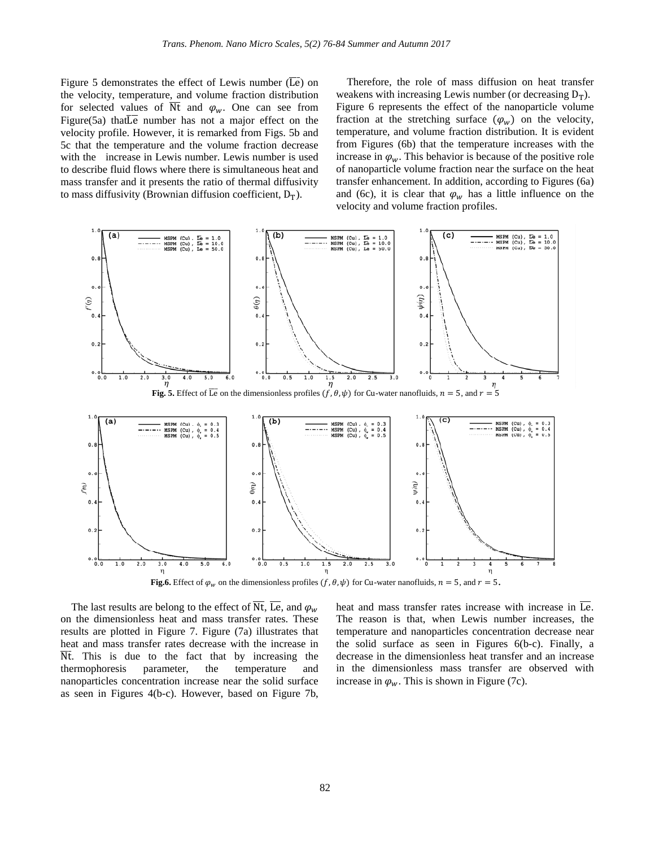Figure 5 demonstrates the effect of Lewis number ( $\overline{Le}$ ) on the velocity, temperature, and volume fraction distribution for selected values of  $\overline{N}t$  and  $\varphi_w$ . One can see from Figure(5a) that Le number has not a major effect on the velocity profile. However, it is remarked from Figs. 5b and 5c that the temperature and the volume fraction decrease with the increase in Lewis number. Lewis number is used to describe fluid flows where there is simultaneous heat and mass transfer and it presents the ratio of thermal diffusivity to mass diffusivity (Brownian diffusion coefficient,  $D_T$ ).

 Therefore, the role of mass diffusion on heat transfer weakens with increasing Lewis number (or decreasing  $D_T$ ). Figure 6 represents the effect of the nanoparticle volume fraction at the stretching surface  $(\varphi_w)$  on the velocity, temperature, and volume fraction distribution. It is evident from Figures (6b) that the temperature increases with the increase in  $\varphi_w$ . This behavior is because of the positive role of nanoparticle volume fraction near the surface on the heat transfer enhancement. In addition, according to Figures (6a) and (6c), it is clear that  $\varphi_w$  has a little influence on the velocity and volume fraction profiles.



**Fig.6.** Effect of  $\varphi_w$  on the dimensionless profiles  $(f, \theta, \psi)$  for Cu-water nanofluids,  $n = 5$ , and  $r = 5$ .

The last results are belong to the effect of  $\overline{Nt}$ ,  $\overline{Le}$ , and  $\varphi_w$ on the dimensionless heat and mass transfer rates. These results are plotted in Figure 7. Figure (7a) illustrates that heat and mass transfer rates decrease with the increase in Nt. This is due to the fact that by increasing the thermophoresis parameter, the temperature and nanoparticles concentration increase near the solid surface as seen in Figures 4(b-c). However, based on Figure 7b,

heat and mass transfer rates increase with increase in  $\overline{Le}$ . The reason is that, when Lewis number increases, the temperature and nanoparticles concentration decrease near the solid surface as seen in Figures 6(b-c). Finally, a decrease in the dimensionless heat transfer and an increase in the dimensionless mass transfer are observed with increase in  $\varphi_w$ . This is shown in Figure (7c).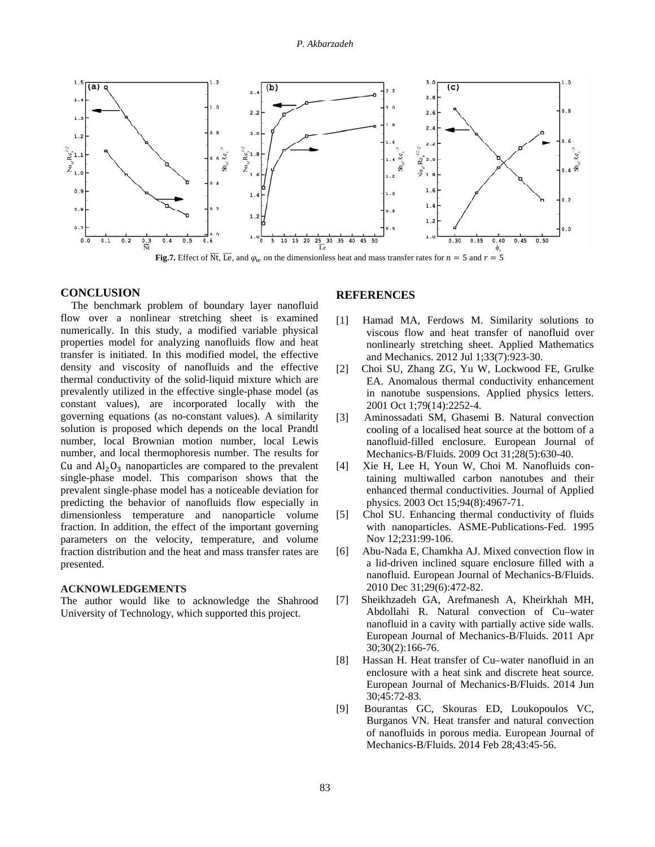

# **CONCLUSION**

 The benchmark problem of boundary layer nanofluid flow over a nonlinear stretching sheet is examined numerically. In this study, a modified variable physical properties model for analyzing nanofluids flow and heat transfer is initiated. In this modified model, the effective density and viscosity of nanofluids and the effective thermal conductivity of the solid-liquid mixture which are prevalently utilized in the effective single-phase model (as constant values), are incorporated locally with the governing equations (as no-constant values). A similarity solution is proposed which depends on the local Prandtl number, local Brownian motion number, local Lewis number, and local thermophoresis number. The results for Cu and  $Al_2O_3$  nanoparticles are compared to the prevalent single-phase model. This comparison shows that the prevalent single-phase model has a noticeable deviation for predicting the behavior of nanofluids flow especially in dimensionless temperature and nanoparticle volume fraction. In addition, the effect of the important governing parameters on the velocity, temperature, and volume fraction distribution and the heat and mass transfer rates are presented.

#### **ACKNOWLEDGEMENTS**

The author would like to acknowledge the Shahrood University of Technology, which supported this project.

#### **REFERENCES**

- [1] Hamad MA, Ferdows M. Similarity solutions to viscous flow and heat transfer of nanofluid over nonlinearly stretching sheet. Applied Mathematics and Mechanics. 2012 Jul 1;33(7):923-30.
- [2] Choi SU, Zhang ZG, Yu W, Lockwood FE, Grulke EA. Anomalous thermal conductivity enhancement in nanotube suspensions. Applied physics letters. 2001 Oct 1;79(14):2252-4.
- [3] Aminossadati SM, Ghasemi B. Natural convection cooling of a localised heat source at the bottom of a nanofluid-filled enclosure. European Journal of Mechanics-B/Fluids. 2009 Oct 31;28(5):630-40.
- [4] Xie H, Lee H, Youn W, Choi M. Nanofluids containing multiwalled carbon nanotubes and their enhanced thermal conductivities. Journal of Applied physics. 2003 Oct 15;94(8):4967-71.
- [5] Chol SU. Enhancing thermal conductivity of fluids with nanoparticles. ASME-Publications-Fed. 1995 Nov 12;231:99-106.
- [6] Abu-Nada E, Chamkha AJ. Mixed convection flow in a lid-driven inclined square enclosure filled with a nanofluid. European Journal of Mechanics-B/Fluids. 2010 Dec 31;29(6):472-82.
- [7] Sheikhzadeh GA, Arefmanesh A, Kheirkhah MH, Abdollahi R. Natural convection of Cu–water nanofluid in a cavity with partially active side walls. European Journal of Mechanics-B/Fluids. 2011 Apr 30;30(2):166-76.
- [8] Hassan H. Heat transfer of Cu–water nanofluid in an enclosure with a heat sink and discrete heat source. European Journal of Mechanics-B/Fluids. 2014 Jun 30;45:72-83.
- [9] Bourantas GC, Skouras ED, Loukopoulos VC, Burganos VN. Heat transfer and natural convection of nanofluids in porous media. European Journal of Mechanics-B/Fluids. 2014 Feb 28;43:45-56.